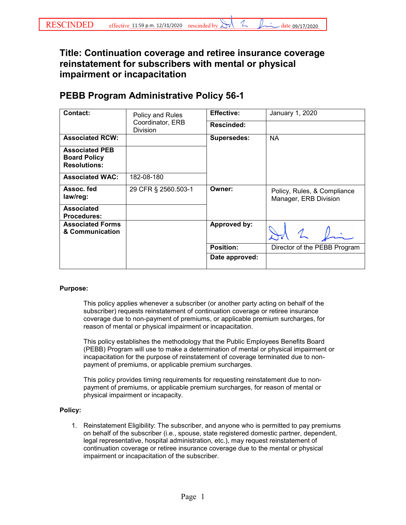## **Title: Continuation coverage and retiree insurance coverage reinstatement for subscribers with mental or physical impairment or incapacitation**

## **PEBB Program Administrative Policy 56-1**

| Contact:                                                            | Policy and Rules<br>Coordinator, ERB<br><b>Division</b> | <b>Effective:</b>  | January 1, 2020                                      |
|---------------------------------------------------------------------|---------------------------------------------------------|--------------------|------------------------------------------------------|
|                                                                     |                                                         | <b>Rescinded:</b>  |                                                      |
| <b>Associated RCW:</b>                                              |                                                         | <b>Supersedes:</b> | <b>NA</b>                                            |
| <b>Associated PEB</b><br><b>Board Policy</b><br><b>Resolutions:</b> |                                                         |                    |                                                      |
| <b>Associated WAC:</b>                                              | 182-08-180                                              |                    |                                                      |
| Assoc. fed<br>law/reg:                                              | 29 CFR § 2560.503-1                                     | Owner:             | Policy, Rules, & Compliance<br>Manager, ERB Division |
| <b>Associated</b><br><b>Procedures:</b>                             |                                                         |                    |                                                      |
| <b>Associated Forms</b><br>& Communication                          |                                                         | Approved by:       |                                                      |
|                                                                     |                                                         | <b>Position:</b>   | Director of the PEBB Program                         |
|                                                                     |                                                         | Date approved:     |                                                      |

## **Purpose:**

This policy applies whenever a subscriber (or another party acting on behalf of the subscriber) requests reinstatement of continuation coverage or retiree insurance coverage due to non-payment of premiums, or applicable premium surcharges, for reason of mental or physical impairment or incapacitation.

This policy establishes the methodology that the Public Employees Benefits Board (PEBB) Program will use to make a determination of mental or physical impairment or incapacitation for the purpose of reinstatement of coverage terminated due to nonpayment of premiums, or applicable premium surcharges.

This policy provides timing requirements for requesting reinstatement due to nonpayment of premiums, or applicable premium surcharges, for reason of mental or physical impairment or incapacity.

## **Policy:**

1. Reinstatement Eligibility: The subscriber, and anyone who is permitted to pay premiums on behalf of the subscriber (i.e., spouse, state registered domestic partner, dependent, legal representative, hospital administration, etc.), may request reinstatement of continuation coverage or retiree insurance coverage due to the mental or physical impairment or incapacitation of the subscriber.